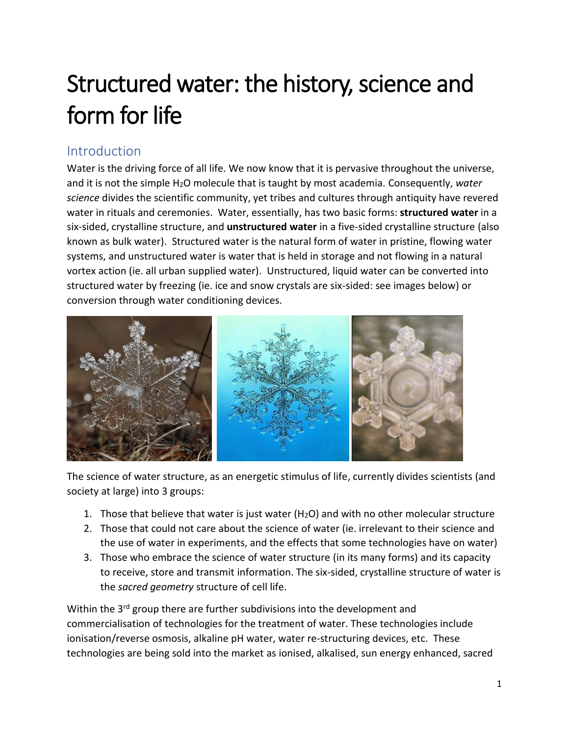# Structured water: the history, science and form for life

# Introduction

Water is the driving force of all life. We now know that it is pervasive throughout the universe, and it is not the simple H<sub>2</sub>O molecule that is taught by most academia. Consequently, water *science* divides the scientific community, yet tribes and cultures through antiquity have revered water in rituals and ceremonies. Water, essentially, has two basic forms: **structured water** in a six-sided, crystalline structure, and **unstructured water** in a five-sided crystalline structure (also known as bulk water). Structured water is the natural form of water in pristine, flowing water systems, and unstructured water is water that is held in storage and not flowing in a natural vortex action (ie. all urban supplied water). Unstructured, liquid water can be converted into structured water by freezing (ie. ice and snow crystals are six-sided: see images below) or conversion through water conditioning devices.



The science of water structure, as an energetic stimulus of life, currently divides scientists (and society at large) into 3 groups:

- 1. Those that believe that water is just water  $(H<sub>2</sub>O)$  and with no other molecular structure
- 2. Those that could not care about the science of water (ie. irrelevant to their science and the use of water in experiments, and the effects that some technologies have on water)
- 3. Those who embrace the science of water structure (in its many forms) and its capacity to receive, store and transmit information. The six-sided, crystalline structure of water is the *sacred geometry* structure of cell life.

Within the 3<sup>rd</sup> group there are further subdivisions into the development and commercialisation of technologies for the treatment of water. These technologies include ionisation/reverse osmosis, alkaline pH water, water re-structuring devices, etc. These technologies are being sold into the market as ionised, alkalised, sun energy enhanced, sacred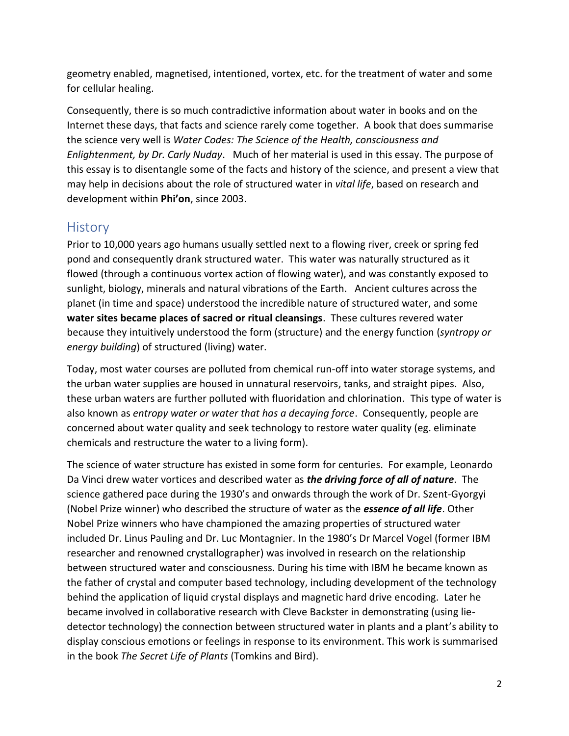geometry enabled, magnetised, intentioned, vortex, etc. for the treatment of water and some for cellular healing.

Consequently, there is so much contradictive information about water in books and on the Internet these days, that facts and science rarely come together. A book that does summarise the science very well is *Water Codes: The Science of the Health, consciousness and Enlightenment, by Dr. Carly Nuday*. Much of her material is used in this essay. The purpose of this essay is to disentangle some of the facts and history of the science, and present a view that may help in decisions about the role of structured water in *vital life*, based on research and development within **Phi'on**, since 2003.

## **History**

Prior to 10,000 years ago humans usually settled next to a flowing river, creek or spring fed pond and consequently drank structured water. This water was naturally structured as it flowed (through a continuous vortex action of flowing water), and was constantly exposed to sunlight, biology, minerals and natural vibrations of the Earth. Ancient cultures across the planet (in time and space) understood the incredible nature of structured water, and some **water sites became places of sacred or ritual cleansings**. These cultures revered water because they intuitively understood the form (structure) and the energy function (*syntropy or energy building*) of structured (living) water.

Today, most water courses are polluted from chemical run-off into water storage systems, and the urban water supplies are housed in unnatural reservoirs, tanks, and straight pipes. Also, these urban waters are further polluted with fluoridation and chlorination. This type of water is also known as *entropy water or water that has a decaying force*. Consequently, people are concerned about water quality and seek technology to restore water quality (eg. eliminate chemicals and restructure the water to a living form).

The science of water structure has existed in some form for centuries. For example, Leonardo Da Vinci drew water vortices and described water as *the driving force of all of nature*. The science gathered pace during the 1930's and onwards through the work of Dr. Szent-Gyorgyi (Nobel Prize winner) who described the structure of water as the *essence of all life*. Other Nobel Prize winners who have championed the amazing properties of structured water included Dr. Linus Pauling and Dr. Luc Montagnier. In the 1980's Dr Marcel Vogel (former IBM researcher and renowned crystallographer) was involved in research on the relationship between structured water and consciousness. During his time with IBM he became known as the father of crystal and computer based technology, including development of the technology behind the application of liquid crystal displays and magnetic hard drive encoding. Later he became involved in collaborative research with Cleve Backster in demonstrating (using liedetector technology) the connection between structured water in plants and a plant's ability to display conscious emotions or feelings in response to its environment. This work is summarised in the book *The Secret Life of Plants* (Tomkins and Bird).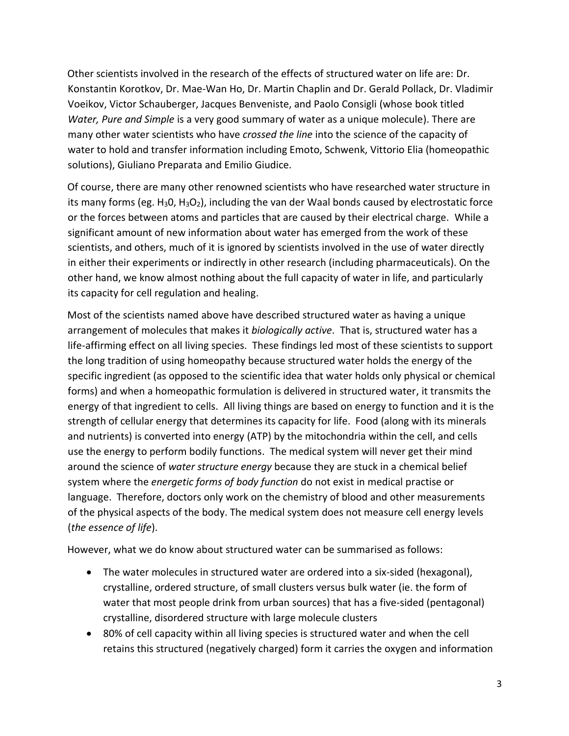Other scientists involved in the research of the effects of structured water on life are: Dr. Konstantin Korotkov, Dr. Mae-Wan Ho, Dr. Martin Chaplin and Dr. Gerald Pollack, Dr. Vladimir Voeikov, Victor Schauberger, Jacques Benveniste, and Paolo Consigli (whose book titled *Water, Pure and Simple* is a very good summary of water as a unique molecule). There are many other water scientists who have *crossed the line* into the science of the capacity of water to hold and transfer information including Emoto, Schwenk, Vittorio Elia (homeopathic solutions), Giuliano Preparata and Emilio Giudice.

Of course, there are many other renowned scientists who have researched water structure in its many forms (eg.  $H_3O$ ,  $H_3O_2$ ), including the van der Waal bonds caused by electrostatic force or the forces between atoms and particles that are caused by their electrical charge. While a significant amount of new information about water has emerged from the work of these scientists, and others, much of it is ignored by scientists involved in the use of water directly in either their experiments or indirectly in other research (including pharmaceuticals). On the other hand, we know almost nothing about the full capacity of water in life, and particularly its capacity for cell regulation and healing.

Most of the scientists named above have described structured water as having a unique arrangement of molecules that makes it *biologically active*. That is, structured water has a life-affirming effect on all living species. These findings led most of these scientists to support the long tradition of using homeopathy because structured water holds the energy of the specific ingredient (as opposed to the scientific idea that water holds only physical or chemical forms) and when a homeopathic formulation is delivered in structured water, it transmits the energy of that ingredient to cells. All living things are based on energy to function and it is the strength of cellular energy that determines its capacity for life. Food (along with its minerals and nutrients) is converted into energy (ATP) by the mitochondria within the cell, and cells use the energy to perform bodily functions. The medical system will never get their mind around the science of *water structure energy* because they are stuck in a chemical belief system where the *energetic forms of body function* do not exist in medical practise or language. Therefore, doctors only work on the chemistry of blood and other measurements of the physical aspects of the body. The medical system does not measure cell energy levels (*the essence of life*).

However, what we do know about structured water can be summarised as follows:

- The water molecules in structured water are ordered into a six-sided (hexagonal), crystalline, ordered structure, of small clusters versus bulk water (ie. the form of water that most people drink from urban sources) that has a five-sided (pentagonal) crystalline, disordered structure with large molecule clusters
- 80% of cell capacity within all living species is structured water and when the cell retains this structured (negatively charged) form it carries the oxygen and information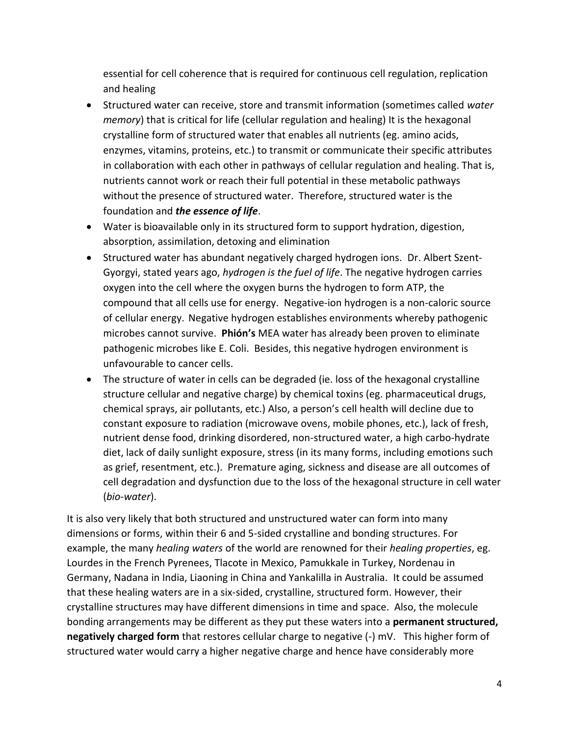essential for cell coherence that is required for continuous cell regulation, replication and healing

- Structured water can receive, store and transmit information (sometimes called *water memory*) that is critical for life (cellular regulation and healing) It is the hexagonal crystalline form of structured water that enables all nutrients (eg. amino acids, enzymes, vitamins, proteins, etc.) to transmit or communicate their specific attributes in collaboration with each other in pathways of cellular regulation and healing. That is, nutrients cannot work or reach their full potential in these metabolic pathways without the presence of structured water. Therefore, structured water is the foundation and *the essence of life*.
- Water is bioavailable only in its structured form to support hydration, digestion, absorption, assimilation, detoxing and elimination
- Structured water has abundant negatively charged hydrogen ions. Dr. Albert Szent-Gyorgyi, stated years ago, *hydrogen is the fuel of life*. The negative hydrogen carries oxygen into the cell where the oxygen burns the hydrogen to form ATP, the compound that all cells use for energy. Negative-ion hydrogen is a non-caloric source of cellular energy. Negative hydrogen establishes environments whereby pathogenic microbes cannot survive. **Phión's** MEA water has already been proven to eliminate pathogenic microbes like E. Coli. Besides, this negative hydrogen environment is unfavourable to cancer cells.
- The structure of water in cells can be degraded (ie. loss of the hexagonal crystalline structure cellular and negative charge) by chemical toxins (eg. pharmaceutical drugs, chemical sprays, air pollutants, etc.) Also, a person's cell health will decline due to constant exposure to radiation (microwave ovens, mobile phones, etc.), lack of fresh, nutrient dense food, drinking disordered, non-structured water, a high carbo-hydrate diet, lack of daily sunlight exposure, stress (in its many forms, including emotions such as grief, resentment, etc.). Premature aging, sickness and disease are all outcomes of cell degradation and dysfunction due to the loss of the hexagonal structure in cell water (*bio-water*).

It is also very likely that both structured and unstructured water can form into many dimensions or forms, within their 6 and 5-sided crystalline and bonding structures. For example, the many *healing waters* of the world are renowned for their *healing properties*, eg. Lourdes in the French Pyrenees, Tlacote in Mexico, Pamukkale in Turkey, Nordenau in Germany, Nadana in India, Liaoning in China and Yankalilla in Australia. It could be assumed that these healing waters are in a six-sided, crystalline, structured form. However, their crystalline structures may have different dimensions in time and space. Also, the molecule bonding arrangements may be different as they put these waters into a **permanent structured, negatively charged form** that restores cellular charge to negative (-) mV. This higher form of structured water would carry a higher negative charge and hence have considerably more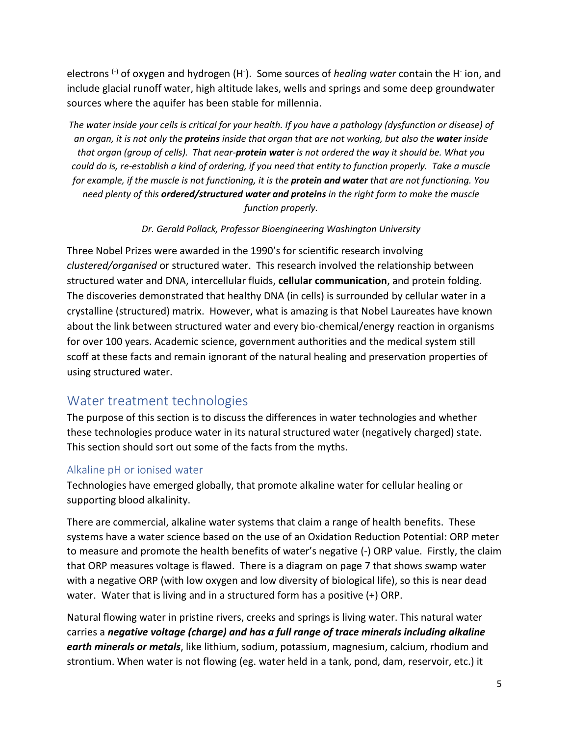electrons <sup>(-)</sup> of oxygen and hydrogen (H<sup>-</sup>). Some sources of *healing water* contain the H<sup>-</sup> ion, and include glacial runoff water, high altitude lakes, wells and springs and some deep groundwater sources where the aquifer has been stable for millennia.

*The water inside your cells is critical for your health. If you have a pathology (dysfunction or disease) of an organ, it is not only the proteins inside that organ that are not working, but also the water inside that organ (group of cells). That near-protein water is not ordered the way it should be. What you could do is, re-establish a kind of ordering, if you need that entity to function properly. Take a muscle for example, if the muscle is not functioning, it is the protein and water that are not functioning. You need plenty of this ordered/structured water and proteins in the right form to make the muscle function properly.* 

*Dr. Gerald Pollack, Professor Bioengineering Washington University* 

Three Nobel Prizes were awarded in the 1990's for scientific research involving *clustered/organised* or structured water. This research involved the relationship between structured water and DNA, intercellular fluids, **cellular communication**, and protein folding. The discoveries demonstrated that healthy DNA (in cells) is surrounded by cellular water in a crystalline (structured) matrix. However, what is amazing is that Nobel Laureates have known about the link between structured water and every bio-chemical/energy reaction in organisms for over 100 years. Academic science, government authorities and the medical system still scoff at these facts and remain ignorant of the natural healing and preservation properties of using structured water.

## Water treatment technologies

The purpose of this section is to discuss the differences in water technologies and whether these technologies produce water in its natural structured water (negatively charged) state. This section should sort out some of the facts from the myths.

## Alkaline pH or ionised water

Technologies have emerged globally, that promote alkaline water for cellular healing or supporting blood alkalinity.

There are commercial, alkaline water systems that claim a range of health benefits. These systems have a water science based on the use of an Oxidation Reduction Potential: ORP meter to measure and promote the health benefits of water's negative (-) ORP value. Firstly, the claim that ORP measures voltage is flawed. There is a diagram on page 7 that shows swamp water with a negative ORP (with low oxygen and low diversity of biological life), so this is near dead water. Water that is living and in a structured form has a positive (+) ORP.

Natural flowing water in pristine rivers, creeks and springs is living water. This natural water carries a *negative voltage (charge) and has a full range of trace minerals including alkaline earth minerals or metals*, like lithium, sodium, potassium, magnesium, calcium, rhodium and strontium. When water is not flowing (eg. water held in a tank, pond, dam, reservoir, etc.) it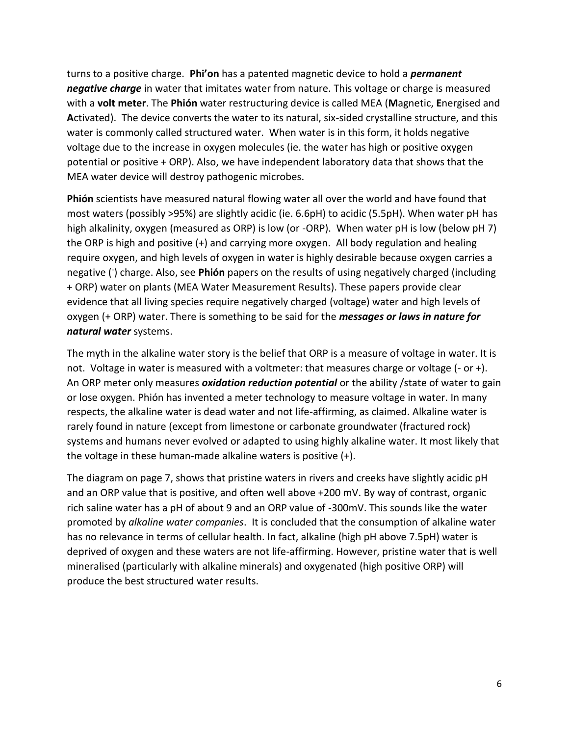turns to a positive charge. **Phi'on** has a patented magnetic device to hold a *permanent negative charge* in water that imitates water from nature. This voltage or charge is measured with a **volt meter**. The **Phión** water restructuring device is called MEA (**M**agnetic, **E**nergised and **A**ctivated). The device converts the water to its natural, six-sided crystalline structure, and this water is commonly called structured water. When water is in this form, it holds negative voltage due to the increase in oxygen molecules (ie. the water has high or positive oxygen potential or positive + ORP). Also, we have independent laboratory data that shows that the MEA water device will destroy pathogenic microbes.

**Phión** scientists have measured natural flowing water all over the world and have found that most waters (possibly >95%) are slightly acidic (ie. 6.6pH) to acidic (5.5pH). When water pH has high alkalinity, oxygen (measured as ORP) is low (or -ORP). When water pH is low (below pH 7) the ORP is high and positive (+) and carrying more oxygen. All body regulation and healing require oxygen, and high levels of oxygen in water is highly desirable because oxygen carries a negative (- ) charge. Also, see **Phión** papers on the results of using negatively charged (including + ORP) water on plants (MEA Water Measurement Results). These papers provide clear evidence that all living species require negatively charged (voltage) water and high levels of oxygen (+ ORP) water. There is something to be said for the *messages or laws in nature for natural water* systems.

The myth in the alkaline water story is the belief that ORP is a measure of voltage in water. It is not. Voltage in water is measured with a voltmeter: that measures charge or voltage (- or +). An ORP meter only measures *oxidation reduction potential* or the ability /state of water to gain or lose oxygen. Phión has invented a meter technology to measure voltage in water. In many respects, the alkaline water is dead water and not life-affirming, as claimed. Alkaline water is rarely found in nature (except from limestone or carbonate groundwater (fractured rock) systems and humans never evolved or adapted to using highly alkaline water. It most likely that the voltage in these human-made alkaline waters is positive (+).

The diagram on page 7, shows that pristine waters in rivers and creeks have slightly acidic pH and an ORP value that is positive, and often well above +200 mV. By way of contrast, organic rich saline water has a pH of about 9 and an ORP value of -300mV. This sounds like the water promoted by *alkaline water companies*. It is concluded that the consumption of alkaline water has no relevance in terms of cellular health. In fact, alkaline (high pH above 7.5pH) water is deprived of oxygen and these waters are not life-affirming. However, pristine water that is well mineralised (particularly with alkaline minerals) and oxygenated (high positive ORP) will produce the best structured water results.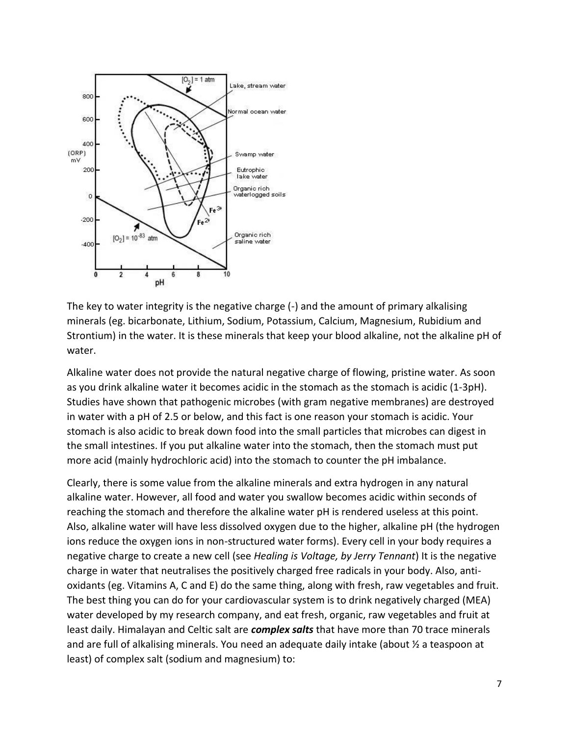

The key to water integrity is the negative charge (-) and the amount of primary alkalising minerals (eg. bicarbonate, Lithium, Sodium, Potassium, Calcium, Magnesium, Rubidium and Strontium) in the water. It is these minerals that keep your blood alkaline, not the alkaline pH of water.

Alkaline water does not provide the natural negative charge of flowing, pristine water. As soon as you drink alkaline water it becomes acidic in the stomach as the stomach is acidic (1-3pH). Studies have shown that pathogenic microbes (with gram negative membranes) are destroyed in water with a pH of 2.5 or below, and this fact is one reason your stomach is acidic. Your stomach is also acidic to break down food into the small particles that microbes can digest in the small intestines. If you put alkaline water into the stomach, then the stomach must put more acid (mainly hydrochloric acid) into the stomach to counter the pH imbalance.

Clearly, there is some value from the alkaline minerals and extra hydrogen in any natural alkaline water. However, all food and water you swallow becomes acidic within seconds of reaching the stomach and therefore the alkaline water pH is rendered useless at this point. Also, alkaline water will have less dissolved oxygen due to the higher, alkaline pH (the hydrogen ions reduce the oxygen ions in non-structured water forms). Every cell in your body requires a negative charge to create a new cell (see *Healing is Voltage, by Jerry Tennant*) It is the negative charge in water that neutralises the positively charged free radicals in your body. Also, antioxidants (eg. Vitamins A, C and E) do the same thing, along with fresh, raw vegetables and fruit. The best thing you can do for your cardiovascular system is to drink negatively charged (MEA) water developed by my research company, and eat fresh, organic, raw vegetables and fruit at least daily. Himalayan and Celtic salt are *complex salts* that have more than 70 trace minerals and are full of alkalising minerals. You need an adequate daily intake (about ½ a teaspoon at least) of complex salt (sodium and magnesium) to: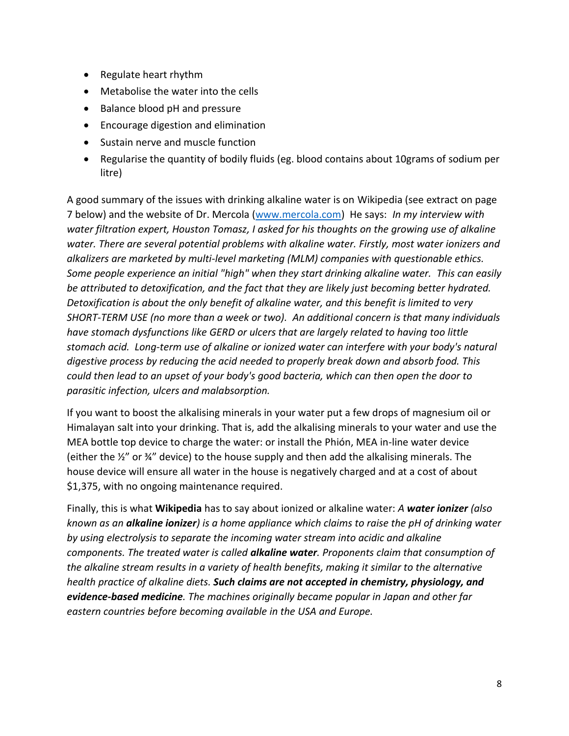- Regulate heart rhythm
- Metabolise the water into the cells
- Balance blood pH and pressure
- Encourage digestion and elimination
- Sustain nerve and muscle function
- Regularise the quantity of bodily fluids (eg. blood contains about 10grams of sodium per litre)

A good summary of the issues with drinking alkaline water is on Wikipedia (see extract on page 7 below) and the website of Dr. Mercola [\(www.mercola.com\)](http://www.mercola.com/) He says: *In [my interview with](http://articles.mercola.com/sites/articles/archive/2010/09/11/alkaline-water-interview.aspx)  [water filtration expert, Houston Tomasz,](http://articles.mercola.com/sites/articles/archive/2010/09/11/alkaline-water-interview.aspx) I asked for his thoughts on the growing use of alkaline water. There are several potential problems with alkaline water. Firstly, most water ionizers and alkalizers are marketed by multi-level marketing (MLM) companies with questionable ethics. Some people experience an initial "high" when they start drinking alkaline water. This can easily be attributed to detoxification, and the fact that they are likely just becoming better hydrated. Detoxification is about the only benefit of alkaline water, and this benefit is limited to very SHORT-TERM USE (no more than a week or two). An additional concern is that many individuals have stomach dysfunctions like GERD or ulcers that are largely related to having too little stomach acid. Long-term use of alkaline or ionized water can interfere with your body's natural digestive process by reducing the acid needed to properly break down and absorb food. This could then lead to an upset of your body's good bacteria, which can then open the door to parasitic infection, ulcers and malabsorption.* 

If you want to boost the alkalising minerals in your water put a few drops of magnesium oil or Himalayan salt into your drinking. That is, add the alkalising minerals to your water and use the MEA bottle top device to charge the water: or install the Phión, MEA in-line water device (either the ½" or ¾" device) to the house supply and then add the alkalising minerals. The house device will ensure all water in the house is negatively charged and at a cost of about \$1,375, with no ongoing maintenance required.

Finally, this is what **Wikipedia** has to say about ionized or alkaline water: *A water ionizer (also known as an alkaline ionizer) is a [home appliance](https://en.wikipedia.org/wiki/Home_appliance) which claims to raise the [pH](https://en.wikipedia.org/wiki/PH) of drinking water by using [electrolysis](https://en.wikipedia.org/wiki/Electrolysis) to separate the incoming water stream into acidic and alkaline components. The treated water is called alkaline water. Proponents claim that consumption of the alkaline stream results in a variety of health benefits, making it similar to the [alternative](https://en.wikipedia.org/wiki/Alternative_medicine)  [health](https://en.wikipedia.org/wiki/Alternative_medicine) practice of [alkaline diets.](https://en.wikipedia.org/wiki/Alkaline_diet) Such claims are not accepted in [chemistry,](https://en.wikipedia.org/wiki/Chemistry) [physiology,](https://en.wikipedia.org/wiki/Physiology) and [evidence-based medicine](https://en.wikipedia.org/wiki/Evidence-based_medicine). The machines originally became popular in [Japan](https://en.wikipedia.org/wiki/Japan) and other far eastern countries before becoming available in the [USA](https://en.wikipedia.org/wiki/United_States) and Europe.*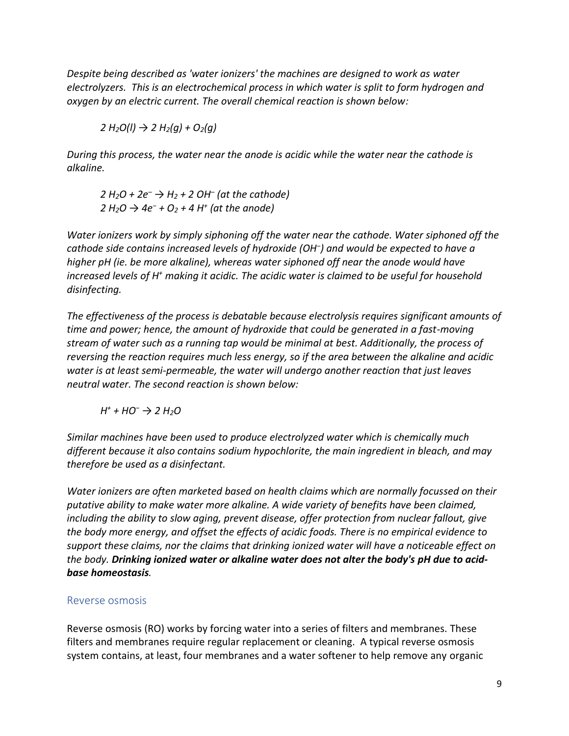*Despite being described as 'water ionizers' the machines are designed to work as [water](https://en.wikipedia.org/wiki/Electrolysis_of_water)  [electrolyzers.](https://en.wikipedia.org/wiki/Electrolysis_of_water) This is a[n electrochemical](https://en.wikipedia.org/wiki/Electrochemical) process in which water is split to form hydrogen and oxygen by an electric current. The overall chemical reaction is shown below:* 

*2 H2O(l) → 2 H2(g) + O2(g)* 

*During this process, the water near the [anode](https://en.wikipedia.org/wiki/Anode) is acidic while the water near the [cathode](https://en.wikipedia.org/wiki/Cathode) is alkaline.* 

*2 H2O + 2e– → H2 + 2 OH– (at the cathode) 2 H2O → 4e<sup>−</sup> + O2 + 4 H<sup>+</sup> (at the anode)* 

*Water ionizers work by simply siphoning off the water near the cathode. Water siphoned off the cathode side contains increased levels of [hydroxide](https://en.wikipedia.org/wiki/Hydroxide) (OH<sup>−</sup> ) and would be expected to have a higher [pH](https://en.wikipedia.org/wiki/PH) (ie. be more alkaline), whereas water siphoned off near the anode would have*  increased levels of H<sup>+</sup> making it acidic. The acidic water is claimed to be useful for household *disinfecting.* 

*The effectiveness of the process is debatable because electrolysis requires significant amounts of time and power; hence, the amount of hydroxide that could be generated in a fast-moving stream of water such as a running tap would be minimal at best. Additionally, the process of reversing the reaction requires much less energy, so if the area between the alkaline and acidic water is at least semi-permeable, the water will undergo another reaction that just leaves neutral water. The second reaction is shown below:* 

*H + + HO<sup>−</sup> → 2 H2O* 

*Similar machines have been used to produce [electrolyzed water](https://en.wikipedia.org/wiki/Electrolyzed_water) which is chemically much different because it also contains [sodium hypochlorite,](https://en.wikipedia.org/wiki/Sodium_hypochlorite) the main ingredient in [bleach,](https://en.wikipedia.org/wiki/Bleach) and may therefore be used as a disinfectant.* 

*Water ionizers are often marketed based on [health claims](https://en.wikipedia.org/wiki/Health_claims) which are normally focussed on their putative ability to make water more alkaline. A wide variety of benefits have been claimed, including the ability to slow [aging,](https://en.wikipedia.org/wiki/Aging) prevent [disease,](https://en.wikipedia.org/wiki/Disease) offer protection from nuclear fallout, give the body more energy, and offset the effects of acidic foods. There is no empirical evidence to support these claims, nor the claims that drinking ionized water will have a noticeable effect on the body. Drinking ionized water or alkaline water does not alter the body's [pH](https://en.wikipedia.org/wiki/PH) due t[o acid](https://en.wikipedia.org/wiki/Acid-base_homeostasis)[base homeostasis](https://en.wikipedia.org/wiki/Acid-base_homeostasis).* 

### Reverse osmosis

Reverse osmosis (RO) works by forcing water into a series of filters and membranes. These filters and membranes require regular replacement or cleaning. A typical reverse osmosis system contains, at least, four membranes and a water softener to help remove any organic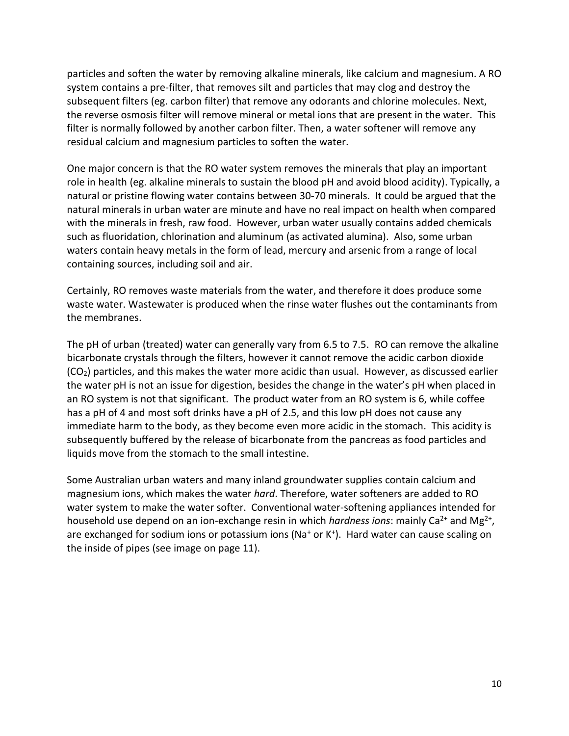particles and soften the water by removing alkaline minerals, like calcium and magnesium. A RO system contains a pre-filter, that removes silt and particles that may clog and destroy the subsequent filters (eg. carbon filter) that remove any odorants and chlorine molecules. Next, [the reverse osmosis filter](https://wateradvise.com/helpful-tips-for-the-users-of-reverse-osmosis-water-filters/) will remove mineral or metal ions that are present in the water. This filter is normally followed by another carbon filter. Then, a water softener will remove any residual calcium and magnesium particles to soften the water.

One major concern is that the RO water system removes the minerals that play an important role in health (eg. alkaline minerals to sustain the blood pH and avoid blood acidity). Typically, a natural or pristine flowing water contains between 30-70 minerals. It could be argued that the natural minerals in urban water are minute and have no real impact on health when compared with the minerals in fresh, raw food. However, urban water usually contains added chemicals such as fluoridation, chlorination and aluminum (as activated alumina). Also, some urban waters contain heavy metals in the form of lead, mercury and arsenic from a range of local containing sources, including soil and air.

Certainly, RO removes waste materials from the water, and therefore it does produce some waste water. Wastewater is produced when the rinse water flushes out the contaminants from the membranes.

The pH of urban (treated) water can generally vary from 6.5 to 7.5. RO can remove the alkaline bicarbonate crystals through the filters, however it cannot remove the acidic carbon dioxide (CO2) particles, and this makes the water more acidic than usual. However, as discussed earlier the water pH is not an issue for digestion, besides the change in the water's pH when placed in an RO system is not that significant. The product water from an RO system is 6, while coffee has a pH of 4 and most soft drinks have a pH of 2.5, and this low pH does not cause any immediate harm to the body, as they become even more acidic in the stomach. This acidity is subsequently buffered by the release of bicarbonate from the pancreas as food particles and liquids move from the stomach to the small intestine.

Some Australian urban waters and many inland groundwater supplies contain calcium and magnesium ions, which makes the water *hard*. Therefore, water softeners are added to RO water system to make the water softer. Conventional water-softening appliances intended for household use depend on an [ion-exchange resin](https://en.wikipedia.org/wiki/Ion-exchange_resin) in which *hardness ions*: mainly Ca<sup>2+</sup> and Mg<sup>2+</sup>, are exchanged fo[r sodium](https://en.wikipedia.org/wiki/Sodium) ions or potassium ions (Na<sup>+</sup> or K<sup>+</sup>). Hard water can cause scaling on the inside of pipes (see image on page 11).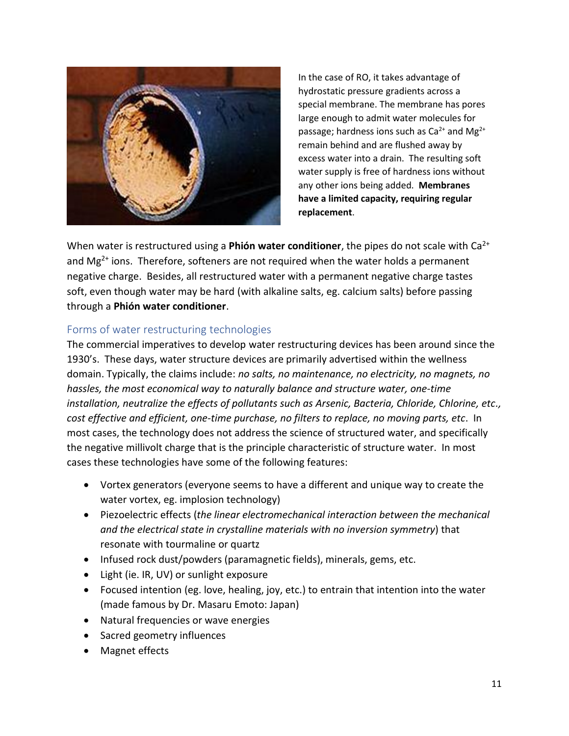

In the case of RO, it takes advantage of [hydrostatic pressure](https://en.wikipedia.org/wiki/Hydrostatic_pressure) gradients across a special membrane. The membrane has pores large enough to admit water molecules for passage; hardness ions such as  $Ca^{2+}$  and  $Mg^{2+}$ remain behind and are flushed away by excess water into a drain. The resulting soft water supply is free of hardness ions without any other ions being added. **Membranes have a limited capacity, requiring regular replacement**.

When water is restructured using a **Phión water conditioner**, the pipes do not scale with  $Ca^{2+}$ and  $Mg^{2+}$  ions. Therefore, softeners are not required when the water holds a permanent negative charge. Besides, all restructured water with a permanent negative charge tastes soft, even though water may be hard (with alkaline salts, eg. calcium salts) before passing through a **Phión water conditioner**.

#### Forms of water restructuring technologies

The commercial imperatives to develop water restructuring devices has been around since the 1930's. These days, water structure devices are primarily advertised within the wellness domain. Typically, the claims include: *no salts, no maintenance, no electricity, no magnets, no hassles, the most economical way to naturally balance and structure water, one-time installation, neutralize the effects of pollutants such as Arsenic, Bacteria, Chloride, Chlorine, etc., cost effective and efficient, one-time purchase, no filters to replace, no moving parts, etc*. In most cases, the technology does not address the science of structured water, and specifically the negative millivolt charge that is the principle characteristic of structure water. In most cases these technologies have some of the following features:

- Vortex generators (everyone seems to have a different and unique way to create the water vortex, eg. implosion technology)
- Piezoelectric effects (*the linear electromechanical interaction between the mechanical and the electrical state in crystalline materials with no inversion symmetry*) that resonate with tourmaline or quartz
- Infused rock dust/powders (paramagnetic fields), minerals, gems, etc.
- Light (ie. IR, UV) or sunlight exposure
- Focused intention (eg. love, healing, joy, etc.) to entrain that intention into the water (made famous by Dr. Masaru Emoto: Japan)
- Natural frequencies or wave energies
- Sacred geometry influences
- Magnet effects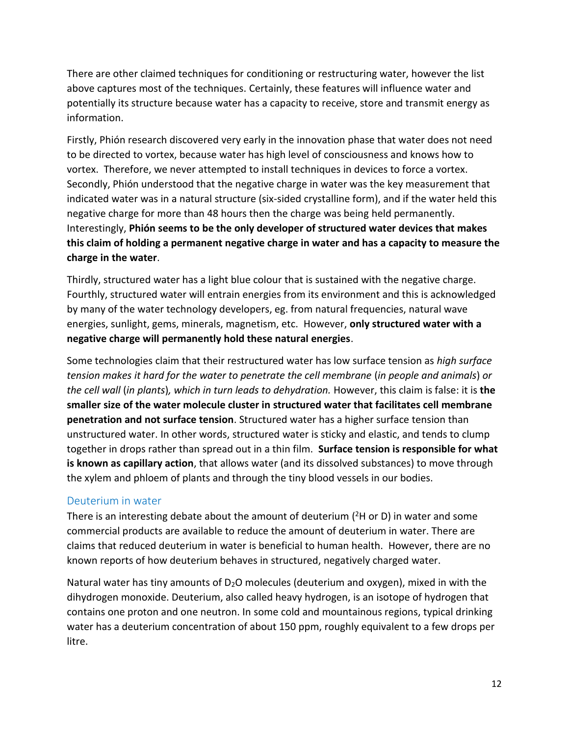There are other claimed techniques for conditioning or restructuring water, however the list above captures most of the techniques. Certainly, these features will influence water and potentially its structure because water has a capacity to receive, store and transmit energy as information.

Firstly, Phión research discovered very early in the innovation phase that water does not need to be directed to vortex, because water has high level of consciousness and knows how to vortex. Therefore, we never attempted to install techniques in devices to force a vortex. Secondly, Phión understood that the negative charge in water was the key measurement that indicated water was in a natural structure (six-sided crystalline form), and if the water held this negative charge for more than 48 hours then the charge was being held permanently. Interestingly, **Phión seems to be the only developer of structured water devices that makes this claim of holding a permanent negative charge in water and has a capacity to measure the charge in the water**.

Thirdly, structured water has a light blue colour that is sustained with the negative charge. Fourthly, structured water will entrain energies from its environment and this is acknowledged by many of the water technology developers, eg. from natural frequencies, natural wave energies, sunlight, gems, minerals, magnetism, etc. However, **only structured water with a negative charge will permanently hold these natural energies**.

Some technologies claim that their restructured water has low surface tension as *high surface tension makes it hard for the water to penetrate the cell membrane* (*in people and animals*) *or the cell wall* (*in plants*)*, which in turn leads to dehydration.* However, this claim is false: it is **the smaller size of the water molecule cluster in structured water that facilitates cell membrane penetration and not surface tension**. Structured water has a higher surface tension than unstructured water. In other words, structured water is sticky and elastic, and tends to clump together in drops rather than spread out in a thin film. **Surface tension is responsible for what is known as capillary action**, that allows water (and its dissolved substances) to move through the xylem and phloem of plants and through the tiny blood vessels in our bodies.

### Deuterium in water

There is an interesting debate about the amount of deuterium ( ${}^{2}$ H or D) in water and some commercial products are available to reduce the amount of deuterium in water. There are claims that reduced deuterium in water is beneficial to human health. However, there are no known reports of how deuterium behaves in structured, negatively charged water.

Natural water has tiny amounts of  $D_2O$  molecules (deuterium and oxygen), mixed in with the dihydrogen monoxide. Deuterium, also called heavy hydrogen, is an isotope of hydrogen that contains one proton and one neutron. In some cold and mountainous regions, typical drinking water has a deuterium concentration of about 150 ppm, roughly equivalent to a few drops per litre.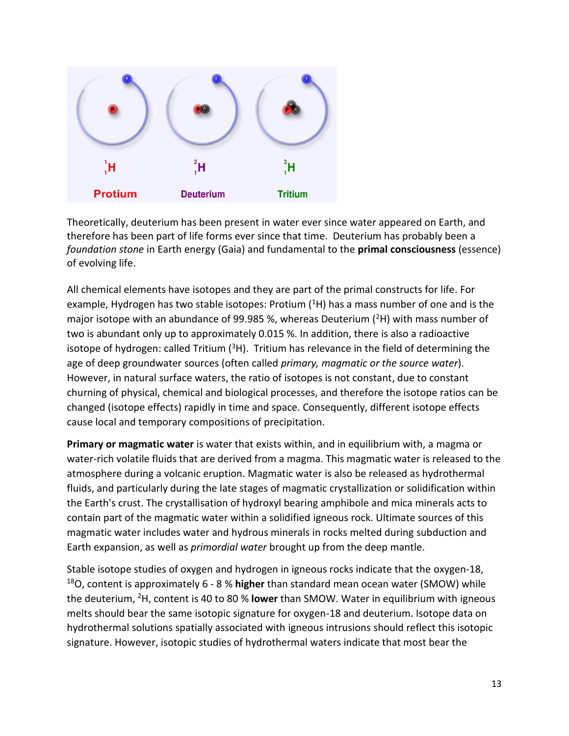

Theoretically, deuterium has been present in water ever since water appeared on Earth, and therefore has been part of life forms ever since that time. Deuterium has probably been a *foundation stone* in Earth energy (Gaia) and fundamental to the **primal consciousness** (essence) of evolving life.

All chemical elements have isotopes and they are part of the primal constructs for life. For example, Hydrogen has two stable isotopes: Protium  $(^1H)$  has a mass number of one and is the major isotope with an abundance of 99.985 %, whereas Deuterium  $(^{2}H)$  with mass number of two is abundant only up to approximately 0.015 %. In addition, there is also a radioactive isotope of hydrogen: called Tritium  $(3H)$ . Tritium has relevance in the field of determining the age of deep groundwater sources (often called *primary, magmatic or the source water*). However, in natural surface waters, the ratio of isotopes is not constant, due to constant churning of physical, chemical and biological processes, and therefore the isotope ratios can be changed (isotope effects) rapidly in time and space. Consequently, different isotope effects cause local and temporary compositions of precipitation.

**Primary or magmatic water** is water that exists within, and in equilibrium with, a [magma](https://en.wikipedia.org/wiki/Magma) or water-rich [volatile](https://en.wikipedia.org/wiki/Volatiles#Igneous_petrology) fluids that are derived from a magma. This magmatic water is released to the atmosphere during a [volcanic](https://en.wikipedia.org/wiki/Volcanic) eruption. Magmatic water is also be released as [hydrothermal](https://en.wikipedia.org/wiki/Hydrothermal)  fluids, and particularly during the late stages of magmatic crystallization or solidification within the Earth's [crust.](https://en.wikipedia.org/wiki/Crust_(geology)) The crystallisation o[f hydroxyl](https://en.wikipedia.org/wiki/Hydroxyl) bearing [amphibole](https://en.wikipedia.org/wiki/Amphibole) and [mica](https://en.wikipedia.org/wiki/Mica) minerals acts to contain part of the magmatic water within a solidified [igneous rock.](https://en.wikipedia.org/wiki/Igneous_rock) Ultimate sources of this magmatic water includes water and hydrous minerals in rocks melted during [subduction](https://en.wikipedia.org/wiki/Subduction) and Earth expansion, as well as *[primordial water](https://en.wikipedia.org/wiki/Water_distribution_on_Earth#Water_in_Earth.27s_mantle)* brought up from the deep [mantle.](https://en.wikipedia.org/wiki/Mantle_(geology))

[Stable isotope](https://en.wikipedia.org/wiki/Stable_isotope) studies of oxygen and hydrogen in igneous rocks indicate that the [oxygen-18,](https://en.wikipedia.org/wiki/Oxygen-18) <sup>18</sup>O, content is approximately 6 - 8 % **higher** than standard mean ocean water [\(SMOW\)](https://en.wikipedia.org/wiki/SMOW) while the [deuterium,](https://en.wikipedia.org/wiki/Deuterium) <sup>2</sup>H, content is 40 to 80 % **lower** than SMOW. Water in equilibrium with [igneous](https://en.wikipedia.org/wiki/Igneous)  melts should bear the same isotopic signature for oxygen-18 and deuterium. Isotope data on hydrothermal solutions spatially associated with [igneous intrusions](https://en.wikipedia.org/wiki/Igneous_intrusion) should reflect this isotopic signature. However, isotopic studies of hydrothermal waters indicate that most bear the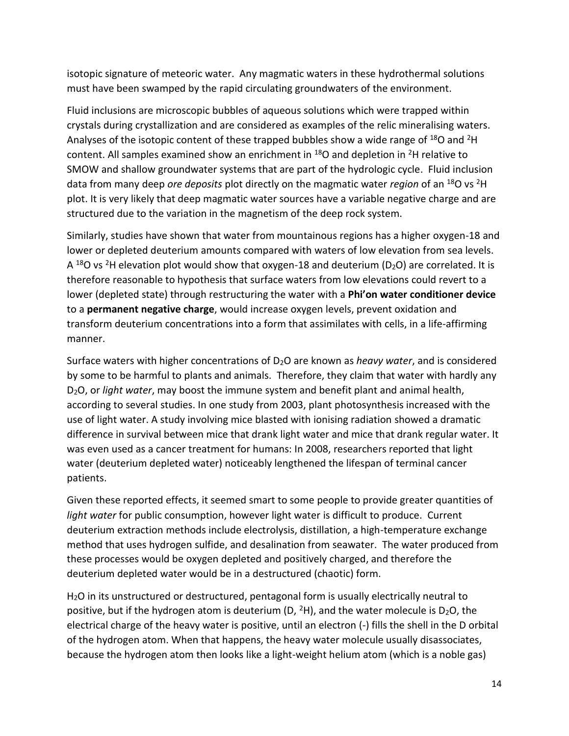isotopic signature of [meteoric water.](https://en.wikipedia.org/wiki/Meteoric_water) Any magmatic waters in these [hydrothermal](https://en.wikipedia.org/wiki/Hydrothermal) solutions must have been swamped by the rapid circulating groundwaters of the environment.

[Fluid inclusions](https://en.wikipedia.org/wiki/Fluid_inclusions) are microscopic bubbles of aqueous solutions which were trapped within crystals during crystallization and are considered as examples of the relic mineralising waters. Analyses of the isotopic content of these trapped bubbles show a wide range of  $^{18}$ O and <sup>2</sup>H content. All samples examined show an enrichment in  $^{18}$ O and depletion in <sup>2</sup>H relative to SMOW and shallow groundwater systems that are part of the hydrologic cycle. Fluid inclusion data from many deep *ore deposits* plot directly on the magmatic water *region* of an <sup>18</sup>O vs <sup>2</sup>H plot. It is very likely that deep magmatic water sources have a variable negative charge and are structured due to the variation in the magnetism of the deep rock system.

Similarly, studies have shown that water from mountainous regions has a higher oxygen-18 and lower or depleted deuterium amounts compared with waters of low elevation from sea levels. A  $^{18}$ O vs <sup>2</sup>H elevation plot would show that oxygen-18 and deuterium (D<sub>2</sub>O) are correlated. It is therefore reasonable to hypothesis that surface waters from low elevations could revert to a lower (depleted state) through restructuring the water with a **Phi'on water conditioner device** to a **permanent negative charge**, would increase oxygen levels, prevent oxidation and transform deuterium concentrations into a form that assimilates with cells, in a life-affirming manner.

Surface waters with higher concentrations of D2O are known as *heavy water*, and is considered by some to be harmful to plants and animals. Therefore, they claim that water with hardly any D2O, or *light water*, may boost the immune system and benefit plant and animal health, according to several studies. In one study from 2003, plant photosynthesis increased with the use of light water. A study involving [mice blasted with ionising radiation](http://www.ncbi.nlm.nih.gov/pubmed/11797936) showed a dramatic difference in survival between mice that drank light water and mice that drank regular water. It was even used as a cancer treatment for humans: In 2008, researchers reported that light water (deuterium depleted water) noticeably lengthened the lifespan of terminal cancer patients.

Given these reported effects, it seemed smart to some people to provide greater quantities of *light water* for public consumption, however light water is difficult to produce. Current deuterium extraction methods include electrolysis, distillation, a high-temperature exchange method that uses hydrogen sulfide, and desalination from seawater. The water produced from these processes would be oxygen depleted and positively charged, and therefore the deuterium depleted water would be in a destructured (chaotic) form.

H2O in its unstructured or destructured, pentagonal form is usually electrically neutral to positive, but if the hydrogen atom is deuterium (D,  $^{2}$ H), and the water molecule is D<sub>2</sub>O, the electrical charge of the heavy water is positive, until an electron (-) fills the shell in the D orbital of the hydrogen atom. When that happens, the heavy water molecule usually disassociates, because the hydrogen atom then looks like a light-weight helium atom (which is a noble gas)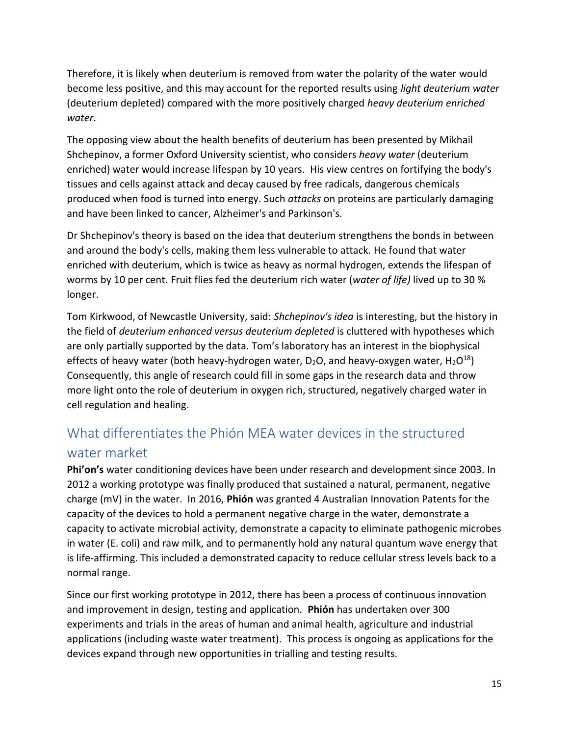Therefore, it is likely when deuterium is removed from water the polarity of the water would become less positive, and this may account for the reported results using *light deuterium water* (deuterium depleted) compared with the more positively charged *heavy deuterium enriched water*.

The opposing view about the health benefits of deuterium has been presented by Mikhail Shchepinov, a former Oxford University scientist, who considers *heavy water* (deuterium enriched) water would increase lifespan by 10 years. His view centres on fortifying the body's tissues and cells against attack and decay caused by free radicals, dangerous chemicals produced when food is turned into energy. Such *attacks* on proteins are particularly damaging and have been linked to cancer, Alzheimer's and Parkinson's.

Dr Shchepinov's theory is based on the idea that deuterium strengthens the bonds in between and around the body's cells, making them less vulnerable to attack. He found that water enriched with deuterium, which is twice as heavy as normal hydrogen, extends the lifespan of worms by 10 per cent. Fruit flies fed the deuterium rich water (*water of life)* lived up to 30 % longer.

Tom Kirkwood, of Newcastle University, said: *Shchepinov's idea* is interesting, but the history in the field of *deuterium enhanced versus deuterium depleted* is cluttered with hypotheses which are only partially supported by the data. Tom's laboratory has an interest in the biophysical effects of heavy water (both [heavy-hydrogen water,](http://en.wikipedia.org/wiki/Heavy_water)  $D_2O$ , and heavy-oxygen water,  $H_2O^{18}$ ) Consequently, this angle of research could fill in some gaps in the research data and throw more light onto the role of deuterium in oxygen rich, structured, negatively charged water in cell regulation and healing.

# What differentiates the Phión MEA water devices in the structured water market

**Phi'on's** water conditioning devices have been under research and development since 2003. In 2012 a working prototype was finally produced that sustained a natural, permanent, negative charge (mV) in the water. In 2016, **Phión** was granted 4 Australian Innovation Patents for the capacity of the devices to hold a permanent negative charge in the water, demonstrate a capacity to activate microbial activity, demonstrate a capacity to eliminate pathogenic microbes in water (E. coli) and raw milk, and to permanently hold any natural quantum wave energy that is life-affirming. This included a demonstrated capacity to reduce cellular stress levels back to a normal range.

Since our first working prototype in 2012, there has been a process of continuous innovation and improvement in design, testing and application. **Phión** has undertaken over 300 experiments and trials in the areas of human and animal health, agriculture and industrial applications (including waste water treatment). This process is ongoing as applications for the devices expand through new opportunities in trialling and testing results.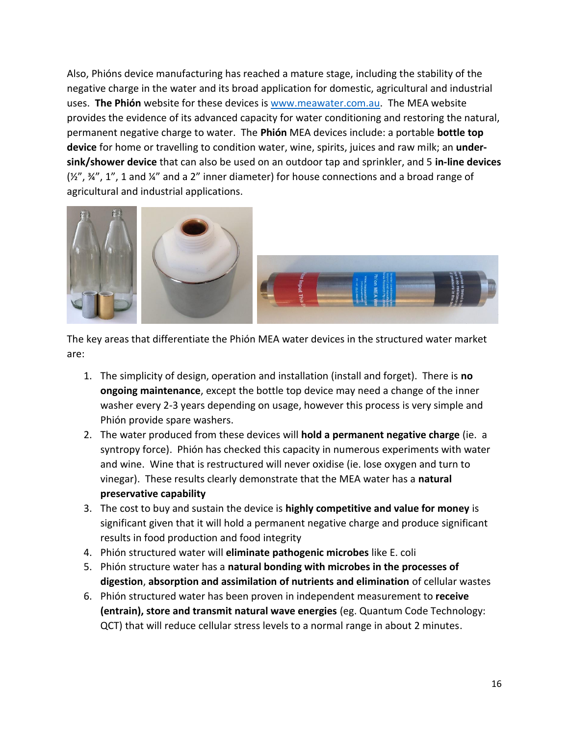Also, Phións device manufacturing has reached a mature stage, including the stability of the negative charge in the water and its broad application for domestic, agricultural and industrial uses. **The Phión** website for these devices is [www.meawater.com.au.](http://www.meawater.com.au/) The MEA website provides the evidence of its advanced capacity for water conditioning and restoring the natural, permanent negative charge to water. The **Phión** MEA devices include: a portable **bottle top device** for home or travelling to condition water, wine, spirits, juices and raw milk; an **undersink/shower device** that can also be used on an outdoor tap and sprinkler, and 5 **in-line devices**  $(Y_1^{\prime\prime}, Y_2^{\prime\prime}, Y_3^{\prime\prime}, Y_4^{\prime\prime})$  and a 2" inner diameter) for house connections and a broad range of agricultural and industrial applications.



The key areas that differentiate the Phión MEA water devices in the structured water market are:

- 1. The simplicity of design, operation and installation (install and forget). There is **no ongoing maintenance**, except the bottle top device may need a change of the inner washer every 2-3 years depending on usage, however this process is very simple and Phión provide spare washers.
- 2. The water produced from these devices will **hold a permanent negative charge** (ie. a syntropy force). Phión has checked this capacity in numerous experiments with water and wine. Wine that is restructured will never oxidise (ie. lose oxygen and turn to vinegar). These results clearly demonstrate that the MEA water has a **natural preservative capability**
- 3. The cost to buy and sustain the device is **highly competitive and value for money** is significant given that it will hold a permanent negative charge and produce significant results in food production and food integrity
- 4. Phión structured water will **eliminate pathogenic microbes** like E. coli
- 5. Phión structure water has a **natural bonding with microbes in the processes of digestion**, **absorption and assimilation of nutrients and elimination** of cellular wastes
- 6. Phión structured water has been proven in independent measurement to **receive (entrain), store and transmit natural wave energies** (eg. Quantum Code Technology: QCT) that will reduce cellular stress levels to a normal range in about 2 minutes.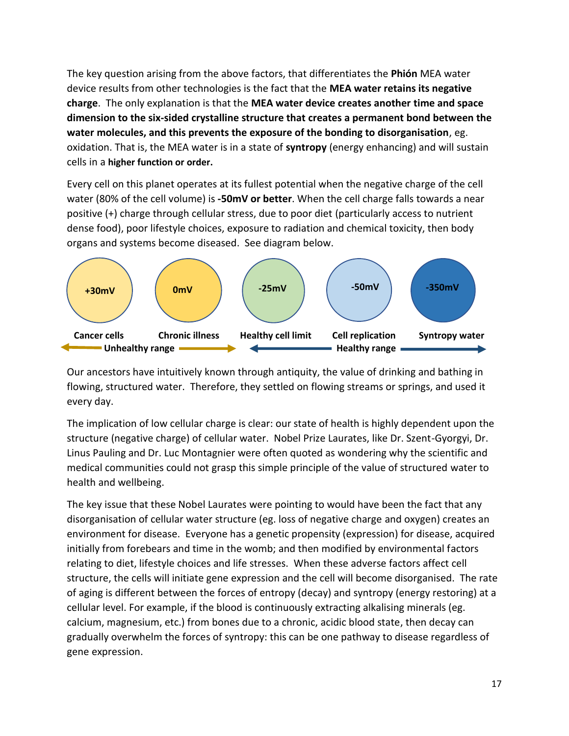The key question arising from the above factors, that differentiates the **Phión** MEA water device results from other technologies is the fact that the **MEA water retains its negative charge**. The only explanation is that the **MEA water device creates another time and space dimension to the six-sided crystalline structure that creates a permanent bond between the water molecules, and this prevents the exposure of the bonding to disorganisation**, eg. oxidation. That is, the MEA water is in a state of **syntropy** (energy enhancing) and will sustain cells in a **higher function or order.**

Every cell on this planet operates at its fullest potential when the negative charge of the cell water (80% of the cell volume) is **-50mV or better**. When the cell charge falls towards a near positive (+) charge through cellular stress, due to poor diet (particularly access to nutrient dense food), poor lifestyle choices, exposure to radiation and chemical toxicity, then body organs and systems become diseased. See diagram below.



Our ancestors have intuitively known through antiquity, the value of drinking and bathing in flowing, structured water. Therefore, they settled on flowing streams or springs, and used it every day.

The implication of low cellular charge is clear: our state of health is highly dependent upon the structure (negative charge) of cellular water. Nobel Prize Laurates, like Dr. Szent-Gyorgyi, Dr. Linus Pauling and Dr. Luc Montagnier were often quoted as wondering why the scientific and medical communities could not grasp this simple principle of the value of structured water to health and wellbeing.

The key issue that these Nobel Laurates were pointing to would have been the fact that any disorganisation of cellular water structure (eg. loss of negative charge and oxygen) creates an environment for disease. Everyone has a genetic propensity (expression) for disease, acquired initially from forebears and time in the womb; and then modified by environmental factors relating to diet, lifestyle choices and life stresses. When these adverse factors affect cell structure, the cells will initiate gene expression and the cell will become disorganised. The rate of aging is different between the forces of entropy (decay) and syntropy (energy restoring) at a cellular level. For example, if the blood is continuously extracting alkalising minerals (eg. calcium, magnesium, etc.) from bones due to a chronic, acidic blood state, then decay can gradually overwhelm the forces of syntropy: this can be one pathway to disease regardless of gene expression.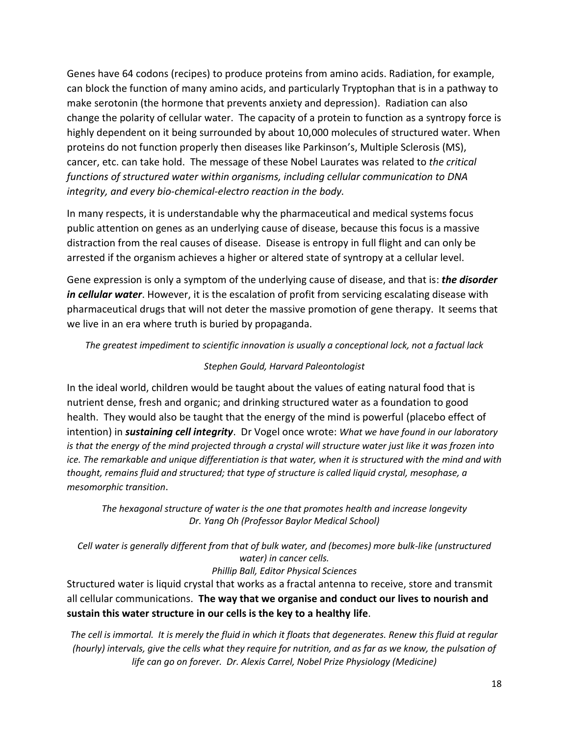Genes have 64 codons (recipes) to produce proteins from amino acids. Radiation, for example, can block the function of many amino acids, and particularly Tryptophan that is in a pathway to make serotonin (the hormone that prevents anxiety and depression). Radiation can also change the polarity of cellular water. The capacity of a protein to function as a syntropy force is highly dependent on it being surrounded by about 10,000 molecules of structured water. When proteins do not function properly then diseases like Parkinson's, Multiple Sclerosis (MS), cancer, etc. can take hold. The message of these Nobel Laurates was related to *the critical functions of structured water within organisms, including cellular communication to DNA integrity, and every bio-chemical-electro reaction in the body.* 

In many respects, it is understandable why the pharmaceutical and medical systems focus public attention on genes as an underlying cause of disease, because this focus is a massive distraction from the real causes of disease. Disease is entropy in full flight and can only be arrested if the organism achieves a higher or altered state of syntropy at a cellular level.

Gene expression is only a symptom of the underlying cause of disease, and that is: *the disorder in cellular water*. However, it is the escalation of profit from servicing escalating disease with pharmaceutical drugs that will not deter the massive promotion of gene therapy. It seems that we live in an era where truth is buried by propaganda.

*The greatest impediment to scientific innovation is usually a conceptional lock, not a factual lack* 

#### *Stephen Gould, Harvard Paleontologist*

In the ideal world, children would be taught about the values of eating natural food that is nutrient dense, fresh and organic; and drinking structured water as a foundation to good health. They would also be taught that the energy of the mind is powerful (placebo effect of intention) in *sustaining cell integrity*. Dr Vogel once wrote: *What we have found in our laboratory is that the energy of the mind projected through a crystal will structure water just like it was frozen into ice. The remarkable and unique differentiation is that water, when it is structured with the mind and with thought, remains fluid and structured; that type of structure is called liquid crystal, mesophase, a mesomorphic transition*.

*The hexagonal structure of water is the one that promotes health and increase longevity Dr. Yang Oh (Professor Baylor Medical School)* 

*Cell water is generally different from that of bulk water, and (becomes) more bulk-like (unstructured water) in cancer cells.* 

#### *Phillip Ball, Editor Physical Sciences*

Structured water is liquid crystal that works as a fractal antenna to receive, store and transmit all cellular communications. **The way that we organise and conduct our lives to nourish and sustain this water structure in our cells is the key to a healthy life**.

*The cell is immortal. It is merely the fluid in which it floats that degenerates. Renew this fluid at regular (hourly) intervals, give the cells what they require for nutrition, and as far as we know, the pulsation of life can go on forever. Dr. Alexis Carrel, Nobel Prize Physiology (Medicine)*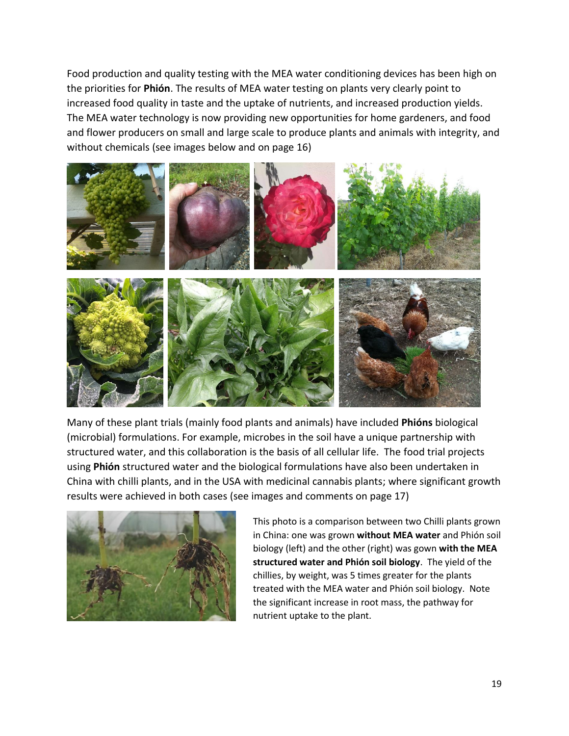Food production and quality testing with the MEA water conditioning devices has been high on the priorities for **Phión**. The results of MEA water testing on plants very clearly point to increased food quality in taste and the uptake of nutrients, and increased production yields. The MEA water technology is now providing new opportunities for home gardeners, and food and flower producers on small and large scale to produce plants and animals with integrity, and without chemicals (see images below and on page 16)



Many of these plant trials (mainly food plants and animals) have included **Phións** biological (microbial) formulations. For example, microbes in the soil have a unique partnership with structured water, and this collaboration is the basis of all cellular life. The food trial projects using **Phión** structured water and the biological formulations have also been undertaken in China with chilli plants, and in the USA with medicinal cannabis plants; where significant growth results were achieved in both cases (see images and comments on page 17)



This photo is a comparison between two Chilli plants grown in China: one was grown **without MEA water** and Phión soil biology (left) and the other (right) was gown **with the MEA structured water and Phión soil biology**. The yield of the chillies, by weight, was 5 times greater for the plants treated with the MEA water and Phión soil biology. Note the significant increase in root mass, the pathway for nutrient uptake to the plant.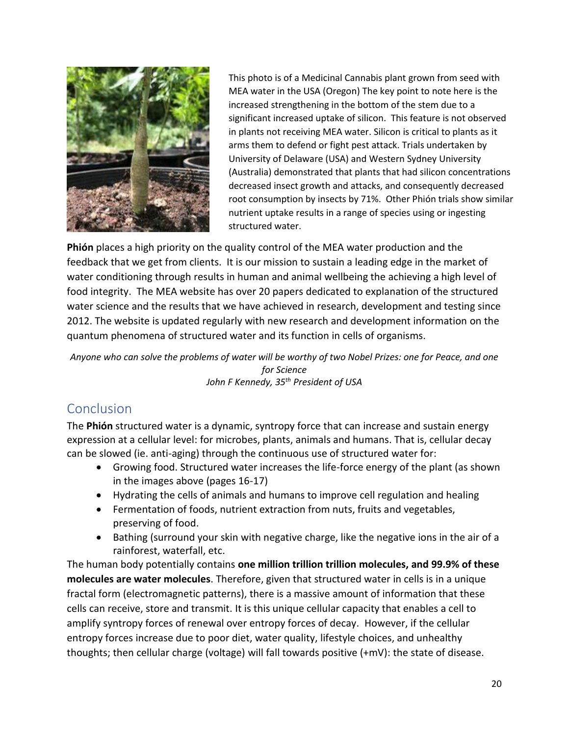

This photo is of a Medicinal Cannabis plant grown from seed with MEA water in the USA (Oregon) The key point to note here is the increased strengthening in the bottom of the stem due to a significant increased uptake of silicon. This feature is not observed in plants not receiving MEA water. Silicon is critical to plants as it arms them to defend or fight pest attack. Trials undertaken by University of Delaware (USA) and Western Sydney University (Australia) demonstrated that plants that had silicon concentrations decreased insect growth and attacks, and consequently decreased root consumption by insects by 71%. Other Phión trials show similar nutrient uptake results in a range of species using or ingesting structured water.

**Phión** places a high priority on the quality control of the MEA water production and the feedback that we get from clients. It is our mission to sustain a leading edge in the market of water conditioning through results in human and animal wellbeing the achieving a high level of food integrity. The MEA website has over 20 papers dedicated to explanation of the structured water science and the results that we have achieved in research, development and testing since 2012. The website is updated regularly with new research and development information on the quantum phenomena of structured water and its function in cells of organisms.

*Anyone who can solve the problems of water will be worthy of two Nobel Prizes: one for Peace, and one for Science John F Kennedy, 35th President of USA* 

## Conclusion

The **Phión** structured water is a dynamic, syntropy force that can increase and sustain energy expression at a cellular level: for microbes, plants, animals and humans. That is, cellular decay can be slowed (ie. anti-aging) through the continuous use of structured water for:

- Growing food. Structured water increases the life-force energy of the plant (as shown in the images above (pages 16-17)
- Hydrating the cells of animals and humans to improve cell regulation and healing
- Fermentation of foods, nutrient extraction from nuts, fruits and vegetables, preserving of food.
- Bathing (surround your skin with negative charge, like the negative ions in the air of a rainforest, waterfall, etc.

The human body potentially contains **one million trillion trillion molecules, and 99.9% of these molecules are water molecules**. Therefore, given that structured water in cells is in a unique fractal form (electromagnetic patterns), there is a massive amount of information that these cells can receive, store and transmit. It is this unique cellular capacity that enables a cell to amplify syntropy forces of renewal over entropy forces of decay. However, if the cellular entropy forces increase due to poor diet, water quality, lifestyle choices, and unhealthy thoughts; then cellular charge (voltage) will fall towards positive (+mV): the state of disease.